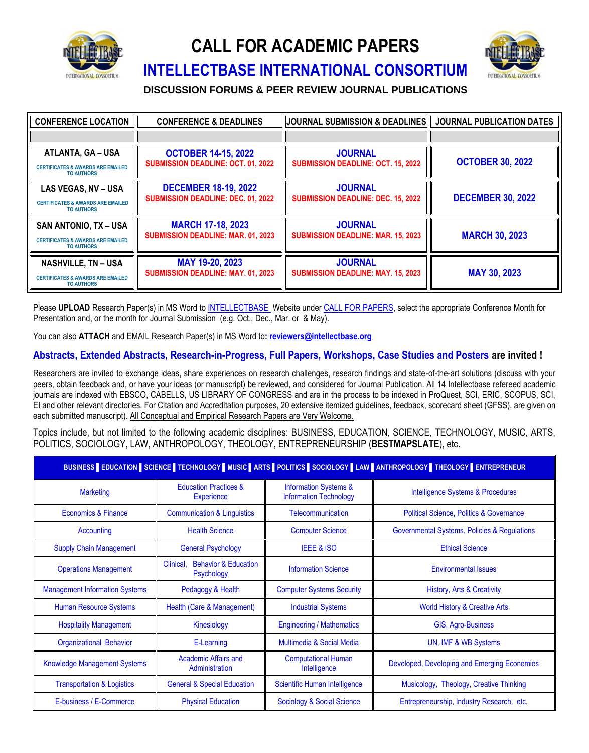

## **CALL FOR ACADEMIC PAPERS**



#### **INTELLECTBASE INTERNATIONAL CONSORTIUM**

**DISCUSSION FORUMS & PEER REVIEW JOURNAL PUBLICATIONS**

| <b>CONFERENCE LOCATION</b>                                                                        | <b>CONFERENCE &amp; DEADLINES</b>                                        | <b>JOURNAL SUBMISSION &amp; DEADLINES</b>                   | <b>JOURNAL PUBLICATION DATES</b> |
|---------------------------------------------------------------------------------------------------|--------------------------------------------------------------------------|-------------------------------------------------------------|----------------------------------|
|                                                                                                   |                                                                          |                                                             |                                  |
| <b>ATLANTA, GA - USA</b><br><b>CERTIFICATES &amp; AWARDS ARE EMAILED</b><br><b>TO AUTHORS</b>     | <b>OCTOBER 14-15, 2022</b><br><b>SUBMISSION DEADLINE: OCT. 01, 2022</b>  | <b>JOURNAL</b><br><b>SUBMISSION DEADLINE: OCT. 15, 2022</b> | <b>OCTOBER 30, 2022</b>          |
| LAS VEGAS, NV - USA<br><b>CERTIFICATES &amp; AWARDS ARE EMAILED</b><br><b>TO AUTHORS</b>          | <b>DECEMBER 18-19, 2022</b><br><b>SUBMISSION DEADLINE: DEC. 01, 2022</b> | <b>JOURNAL</b><br><b>SUBMISSION DEADLINE: DEC. 15, 2022</b> | <b>DECEMBER 30, 2022</b>         |
| <b>SAN ANTONIO, TX - USA</b><br><b>CERTIFICATES &amp; AWARDS ARE EMAILED</b><br><b>TO AUTHORS</b> | <b>MARCH 17-18, 2023</b><br><b>SUBMISSION DEADLINE: MAR. 01, 2023</b>    | <b>JOURNAL</b><br><b>SUBMISSION DEADLINE: MAR. 15, 2023</b> | <b>MARCH 30, 2023</b>            |
| <b>NASHVILLE, TN - USA</b><br><b>CERTIFICATES &amp; AWARDS ARE EMAILED</b><br><b>TO AUTHORS</b>   | MAY 19-20, 2023<br><b>SUBMISSION DEADLINE: MAY. 01, 2023</b>             | <b>JOURNAL</b><br><b>SUBMISSION DEADLINE: MAY. 15, 2023</b> | <b>MAY 30, 2023</b>              |

Please UPLOAD Research Paper(s) in MS Word t[o INTELLECTBASE](file:///D:/intellectbase.org/%23call-for-papers) Website unde[r CALL FOR PAPERS,](https://intellectbase.org/#call-for-papers) select the appropriate Conference Month for Presentation and, or the month for Journal Submission (e.g. Oct., Dec., Mar. or & May).

You can also **ATTACH** and EMAIL Research Paper(s) in MS Word to**[: reviewers@intellectbase.org](mailto:reviewers@intellectbase.org)**

#### **Abstracts, Extended Abstracts, Research-in-Progress, Full Papers, Workshops, Case Studies and Posters are invited !**

Researchers are invited to exchange ideas, share experiences on research challenges, research findings and state-of-the-art solutions (discuss with your peers, obtain feedback and, or have your ideas (or manuscript) be reviewed, and considered for Journal Publication. All 14 Intellectbase refereed academic journals are indexed with EBSCO, CABELLS, US LIBRARY OF CONGRESS and are in the process to be indexed in ProQuest, SCI, ERIC, SCOPUS, SCI, EI and other relevant directories. For Citation and Accreditation purposes, 20 extensive itemized guidelines, feedback, scorecard sheet (GFSS), are given on each submitted manuscript). All Conceptual and Empirical Research Papers are Very Welcome.

Topics include, but not limited to the following academic disciplines: BUSINESS, EDUCATION, SCIENCE, TECHNOLOGY, MUSIC, ARTS, POLITICS, SOCIOLOGY, LAW, ANTHROPOLOGY, THEOLOGY, ENTREPRENEURSHIP (**BESTMAPSLATE**), etc.

| BUSINESS EDUCATION SCIENCE TECHNOLOGY MUSIC ARTS POLITICS SOCIOLOGY LAW ANTHROPOLOGY THEOLOGY ENTREPRENEUR |                                                            |                                                                   |                                                     |  |
|------------------------------------------------------------------------------------------------------------|------------------------------------------------------------|-------------------------------------------------------------------|-----------------------------------------------------|--|
| <b>Marketing</b>                                                                                           | <b>Education Practices &amp;</b><br><b>Experience</b>      | <b>Information Systems &amp;</b><br><b>Information Technology</b> | Intelligence Systems & Procedures                   |  |
| Economics & Finance                                                                                        | <b>Communication &amp; Linguistics</b>                     | Telecommunication                                                 | <b>Political Science, Politics &amp; Governance</b> |  |
| Accounting                                                                                                 | <b>Health Science</b>                                      | <b>Computer Science</b>                                           | Governmental Systems, Policies & Regulations        |  |
| <b>Supply Chain Management</b>                                                                             | <b>General Psychology</b>                                  | <b>IEEE &amp; ISO</b>                                             | <b>Ethical Science</b>                              |  |
| <b>Operations Management</b>                                                                               | <b>Behavior &amp; Education</b><br>Clinical,<br>Psychology | <b>Information Science</b>                                        | <b>Environmental Issues</b>                         |  |
| <b>Management Information Systems</b>                                                                      | Pedagogy & Health                                          | <b>Computer Systems Security</b>                                  | History, Arts & Creativity                          |  |
| Human Resource Systems                                                                                     | Health (Care & Management)                                 | <b>Industrial Systems</b>                                         | <b>World History &amp; Creative Arts</b>            |  |
| <b>Hospitality Management</b>                                                                              | Kinesiology                                                | <b>Engineering / Mathematics</b>                                  | GIS, Agro-Business                                  |  |
| <b>Organizational Behavior</b>                                                                             | E-Learning                                                 | Multimedia & Social Media                                         | UN, IMF & WB Systems                                |  |
| <b>Knowledge Management Systems</b>                                                                        | <b>Academic Affairs and</b><br>Administration              | <b>Computational Human</b><br>Intelligence                        | Developed, Developing and Emerging Economies        |  |
| <b>Transportation &amp; Logistics</b>                                                                      | <b>General &amp; Special Education</b>                     | Scientific Human Intelligence                                     | Musicology, Theology, Creative Thinking             |  |
| E-business / E-Commerce                                                                                    | <b>Physical Education</b>                                  | Sociology & Social Science                                        | Entrepreneurship, Industry Research, etc.           |  |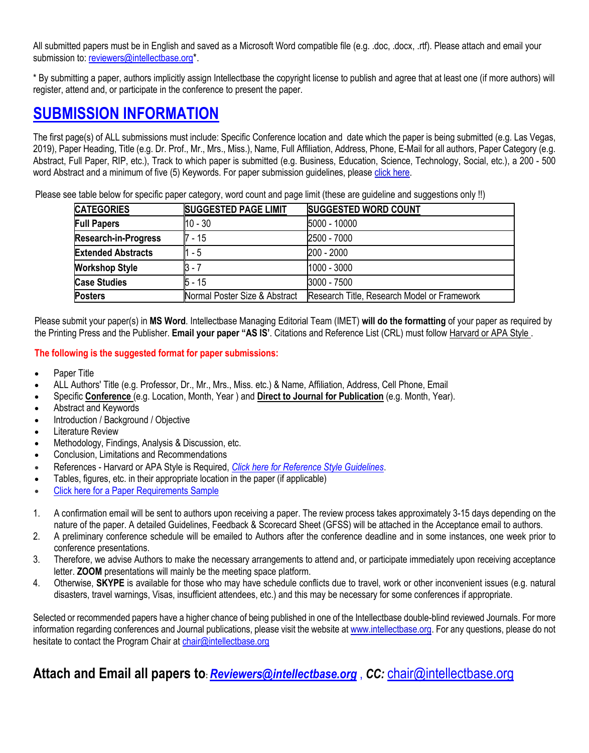All submitted papers must be in English and saved as a Microsoft Word compatible file (e.g. .doc, .docx, .rtf). Please attach and email your submission to: [reviewers@intellectbase.org](mailto:reviewers@intellectbase.org)\*.

\* By submitting a paper, authors implicitly assign Intellectbase the copyright license to publish and agree that at least one (if more authors) will register, attend and, or participate in the conference to present the paper.

### **SUBMISSION INFORMATION**

The first page(s) of ALL submissions must include: Specific Conference location and date which the paper is being submitted (e.g. Las Vegas, 2019), Paper Heading, Title (e.g. Dr. Prof., Mr., Mrs., Miss.), Name, Full Affiliation, Address, Phone, E-Mail for all authors, Paper Category (e.g. Abstract, Full Paper, RIP, etc.), Track to which paper is submitted (e.g. Business, Education, Science, Technology, Social, etc.), a 200 - 500 word Abstract and a minimum of five (5) Keywords. For paper submission guidelines, please [click here.](http://www.intellectbase.org/Paper_Formatting_Example.doc)

Please see table below for specific paper category, word count and page limit (these are guideline and suggestions only !!)

| <b>CATEGORIES</b>           | <b>SUGGESTED PAGE LIMIT</b>   | <b>SUGGESTED WORD COUNT</b>                 |
|-----------------------------|-------------------------------|---------------------------------------------|
| <b>Full Papers</b>          | $10 - 30$                     | 5000 - 10000                                |
| <b>Research-in-Progress</b> | 7 - 15                        | 2500 - 7000                                 |
| <b>Extended Abstracts</b>   | - 5                           | 200 - 2000                                  |
| <b>Workshop Style</b>       | 3 - 7                         | 1000 - 3000                                 |
| <b>Case Studies</b>         | 5 - 15                        | 3000 - 7500                                 |
| <b>Posters</b>              | Normal Poster Size & Abstract | Research Title, Research Model or Framework |

Please submit your paper(s) in **MS Word**. Intellectbase Managing Editorial Team (IMET) **will do the formatting** of your paper as required by the Printing Press and the Publisher. **Email your paper "AS IS'**. Citations and Reference List (CRL) must follo[w Harvard or APA Style .](http://www.intellectbase.org/Harvard_Style_Referencing.pdf)

#### **The following is the suggested format for paper submissions:**

- Paper Title
- ALL Authors' Title (e.g. Professor, Dr., Mr., Mrs., Miss. etc.) & Name, Affiliation, Address, Cell Phone, Email
- Specific **Conference** (e.g. Location, Month, Year ) and **Direct to Journal for Publication** (e.g. Month, Year).
- Abstract and Keywords
- Introduction / Background / Objective
- **Literature Review**
- Methodology, Findings, Analysis & Discussion, etc.
- Conclusion, Limitations and Recommendations
- References Harvard or APA Style is Required, *[Click here for Reference Style Guidelines](http://www.intellectbase.org/Harvard_Style_Referencing.pdf)*.
- Tables, figures, etc. in their appropriate location in the paper (if applicable)
- [Click here for a Paper Requirements Sample](http://www.intellectbase.org/Paper_Formatting_Example.doc)
- 1. A confirmation email will be sent to authors upon receiving a paper. The review process takes approximately 3-15 days depending on the nature of the paper. A detailed Guidelines, Feedback & Scorecard Sheet (GFSS) will be attached in the Acceptance email to authors.
- 2. A preliminary conference schedule will be emailed to Authors after the conference deadline and in some instances, one week prior to conference presentations.
- 3. Therefore, we advise Authors to make the necessary arrangements to attend and, or participate immediately upon receiving acceptance letter. **ZOOM** presentations will mainly be the meeting space platform.
- 4. Otherwise, **SKYPE** is available for those who may have schedule conflicts due to travel, work or other inconvenient issues (e.g. natural disasters, travel warnings, Visas, insufficient attendees, etc.) and this may be necessary for some conferences if appropriate.

Selected or recommended papers have a higher chance of being published in one of the Intellectbase double-blind reviewed Journals. For more information regarding conferences and Journal publications, please visit the website a[t www.intellectbase.org.](http://www.intellectbase.org/) For any questions, please do not hesitate to contact the Program Chair at [chair@intellectbase.org](mailto:chair@intellectbase.org)

#### **Attach and Email all papers to:** *[Reviewers@intellectbase.org](mailto:Reviewers@intellectbase.org)* , *CC:* [chair@intellectbase.org](mailto:chair@intellectbase.org)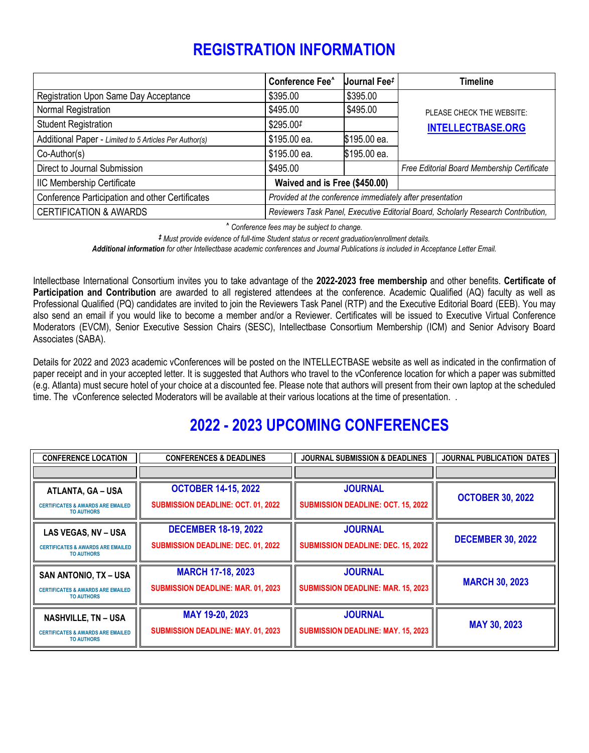## **REGISTRATION INFORMATION**

|                                                        | <b>Conference Fee^</b>                                                            | Journal Fee <sup>#</sup> | <b>Timeline</b>                             |  |
|--------------------------------------------------------|-----------------------------------------------------------------------------------|--------------------------|---------------------------------------------|--|
| Registration Upon Same Day Acceptance                  | \$395.00                                                                          | \$395.00                 |                                             |  |
| Normal Registration                                    | \$495.00                                                                          | \$495.00                 | PLEASE CHECK THE WEBSITE:                   |  |
| <b>Student Registration</b>                            | \$295.00#                                                                         |                          | <b>INTELLECTBASE.ORG</b>                    |  |
| Additional Paper - Limited to 5 Articles Per Author(s) | \$195.00 ea.                                                                      | \$195.00 ea.             |                                             |  |
| $Co-Author(s)$                                         | \$195.00 ea.                                                                      | \$195.00 ea.             |                                             |  |
| Direct to Journal Submission                           | \$495.00                                                                          |                          | Free Editorial Board Membership Certificate |  |
| IIC Membership Certificate                             | Waived and is Free (\$450.00)                                                     |                          |                                             |  |
| Conference Participation and other Certificates        | Provided at the conference immediately after presentation                         |                          |                                             |  |
| <b>CERTIFICATION &amp; AWARDS</b>                      | Reviewers Task Panel, Executive Editorial Board, Scholarly Research Contribution, |                          |                                             |  |

*^ Conference fees may be subject to change.*

*‡ Must provide evidence of full-time Student status or recent graduation/enrollment details.*

*Additional information for other Intellectbase academic conferences and Journal Publications is included in Acceptance Letter Email.*

Intellectbase International Consortium invites you to take advantage of the **2022-2023 free membership** and other benefits. **Certificate of**  Participation and Contribution are awarded to all registered attendees at the conference. Academic Qualified (AQ) faculty as well as Professional Qualified (PQ) candidates are invited to join the Reviewers Task Panel (RTP) and the Executive Editorial Board (EEB). You may also send an email if you would like to become a member and/or a Reviewer. Certificates will be issued to Executive Virtual Conference Moderators (EVCM), Senior Executive Session Chairs (SESC), Intellectbase Consortium Membership (ICM) and Senior Advisory Board Associates (SABA).

Details for 2022 and 2023 academic vConferences will be posted on the INTELLECTBASE website as well as indicated in the confirmation of paper receipt and in your accepted letter. It is suggested that Authors who travel to the vConference location for which a paper was submitted (e.g. Atlanta) must secure hotel of your choice at a discounted fee. Please note that authors will present from their own laptop at the scheduled time. The vConference selected Moderators will be available at their various locations at the time of presentation. .

## **2022 - 2023 UPCOMING CONFERENCES**

| <b>CONFERENCE LOCATION</b>                                                                        | <b>CONFERENCES &amp; DEADLINES</b>                                       | <b>JOURNAL SUBMISSION &amp; DEADLINES</b>                   | JOURNAL PUBLICATION DATES |
|---------------------------------------------------------------------------------------------------|--------------------------------------------------------------------------|-------------------------------------------------------------|---------------------------|
|                                                                                                   |                                                                          |                                                             |                           |
| <b>ATLANTA, GA - USA</b><br><b>CERTIFICATES &amp; AWARDS ARE EMAILED</b><br><b>TO AUTHORS</b>     | <b>OCTOBER 14-15, 2022</b><br><b>SUBMISSION DEADLINE: OCT. 01, 2022</b>  | <b>JOURNAL</b><br><b>SUBMISSION DEADLINE: OCT. 15, 2022</b> | <b>OCTOBER 30, 2022</b>   |
| LAS VEGAS, NV - USA<br><b>CERTIFICATES &amp; AWARDS ARE EMAILED</b><br><b>TO AUTHORS</b>          | <b>DECEMBER 18-19, 2022</b><br><b>SUBMISSION DEADLINE: DEC. 01, 2022</b> | <b>JOURNAL</b><br><b>SUBMISSION DEADLINE: DEC. 15, 2022</b> | <b>DECEMBER 30, 2022</b>  |
| <b>SAN ANTONIO, TX - USA</b><br><b>CERTIFICATES &amp; AWARDS ARE EMAILED</b><br><b>TO AUTHORS</b> | <b>MARCH 17-18, 2023</b><br><b>SUBMISSION DEADLINE: MAR. 01, 2023</b>    | <b>JOURNAL</b><br><b>SUBMISSION DEADLINE: MAR. 15, 2023</b> | <b>MARCH 30, 2023</b>     |
| <b>NASHVILLE, TN - USA</b><br><b>CERTIFICATES &amp; AWARDS ARE EMAILED</b><br><b>TO AUTHORS</b>   | MAY 19-20, 2023<br>SUBMISSION DEADLINE: MAY. 01, 2023                    | <b>JOURNAL</b><br><b>SUBMISSION DEADLINE: MAY. 15, 2023</b> | <b>MAY 30, 2023</b>       |